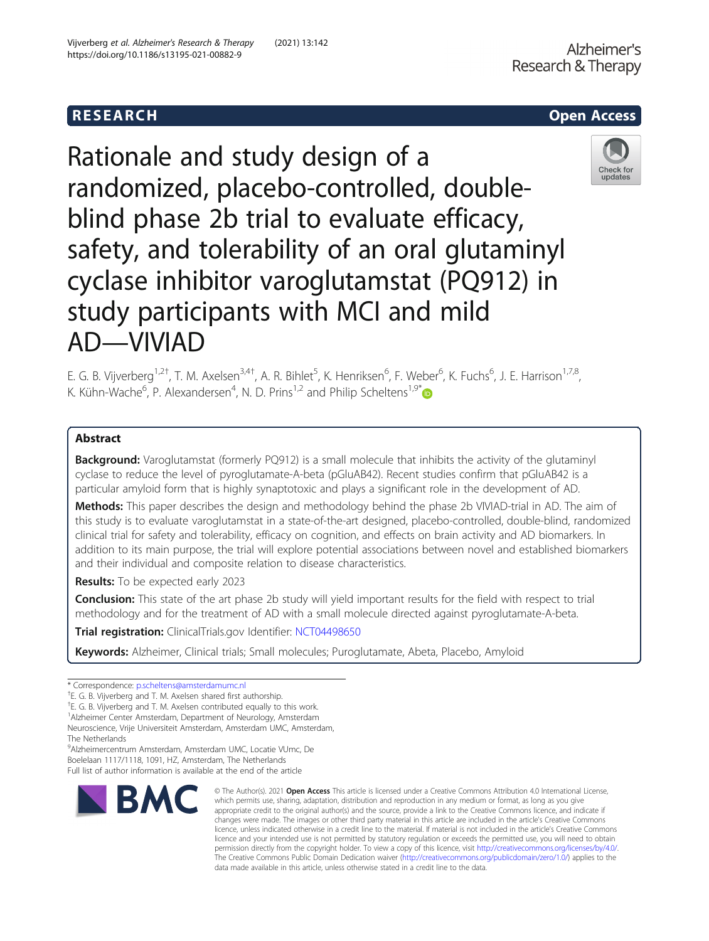# **RESEARCH CHEAR CHEAR CHEAR CHEAR CHEAR CHEAR CHEAR CHEAR CHEAR CHEAR CHEAR CHEAR CHEAR CHEAR CHEAR CHEAR CHEAR**

# Rationale and study design of a randomized, placebo-controlled, doubleblind phase 2b trial to evaluate efficacy, safety, and tolerability of an oral glutaminyl cyclase inhibitor varoglutamstat (PQ912) in study participants with MCI and mild AD—VIVIAD



E. G. B. Vijverberg<sup>1,2†</sup>, T. M. Axelsen<sup>3,4†</sup>, A. R. Bihlet<sup>5</sup>, K. Henriksen<sup>6</sup>, F. Weber<sup>6</sup>, K. Fuchs<sup>6</sup>, J. E. Harrison<sup>1,7,8</sup>, K. Kühn-Wache<sup>6</sup>, P. Alexandersen<sup>4</sup>, N. D. Prins<sup>1,2</sup> and Philip Scheltens<sup>1,9\*</sup>

## Abstract

Background: Varoglutamstat (formerly PQ912) is a small molecule that inhibits the activity of the glutaminyl cyclase to reduce the level of pyroglutamate-A-beta (pGluAB42). Recent studies confirm that pGluAB42 is a particular amyloid form that is highly synaptotoxic and plays a significant role in the development of AD.

Methods: This paper describes the design and methodology behind the phase 2b VIVIAD-trial in AD. The aim of this study is to evaluate varoglutamstat in a state-of-the-art designed, placebo-controlled, double-blind, randomized clinical trial for safety and tolerability, efficacy on cognition, and effects on brain activity and AD biomarkers. In addition to its main purpose, the trial will explore potential associations between novel and established biomarkers and their individual and composite relation to disease characteristics.

Results: To be expected early 2023

**Conclusion:** This state of the art phase 2b study will yield important results for the field with respect to trial methodology and for the treatment of AD with a small molecule directed against pyroglutamate-A-beta.

Trial registration: ClinicalTrials.gov Identifier: [NCT04498650](https://clinicaltrials.gov/ct2/show/NCT04498650)

Keywords: Alzheimer, Clinical trials; Small molecules; Puroglutamate, Abeta, Placebo, Amyloid

9 Alzheimercentrum Amsterdam, Amsterdam UMC, Locatie VUmc, De Boelelaan 1117/1118, 1091, HZ, Amsterdam, The Netherlands

Full list of author information is available at the end of the article



<sup>©</sup> The Author(s), 2021 **Open Access** This article is licensed under a Creative Commons Attribution 4.0 International License, which permits use, sharing, adaptation, distribution and reproduction in any medium or format, as long as you give appropriate credit to the original author(s) and the source, provide a link to the Creative Commons licence, and indicate if changes were made. The images or other third party material in this article are included in the article's Creative Commons licence, unless indicated otherwise in a credit line to the material. If material is not included in the article's Creative Commons licence and your intended use is not permitted by statutory regulation or exceeds the permitted use, you will need to obtain permission directly from the copyright holder. To view a copy of this licence, visit [http://creativecommons.org/licenses/by/4.0/.](http://creativecommons.org/licenses/by/4.0/) The Creative Commons Public Domain Dedication waiver [\(http://creativecommons.org/publicdomain/zero/1.0/](http://creativecommons.org/publicdomain/zero/1.0/)) applies to the data made available in this article, unless otherwise stated in a credit line to the data.

<sup>\*</sup> Correspondence: [p.scheltens@amsterdamumc.nl](mailto:p.scheltens@amsterdamumc.nl) †

<sup>&</sup>lt;sup>+</sup>E. G. B. Vijverberg and T. M. Axelsen shared first authorship.

<sup>†</sup> E. G. B. Vijverberg and T. M. Axelsen contributed equally to this work.

<sup>1</sup> Alzheimer Center Amsterdam, Department of Neurology, Amsterdam

Neuroscience, Vrije Universiteit Amsterdam, Amsterdam UMC, Amsterdam, The Netherlands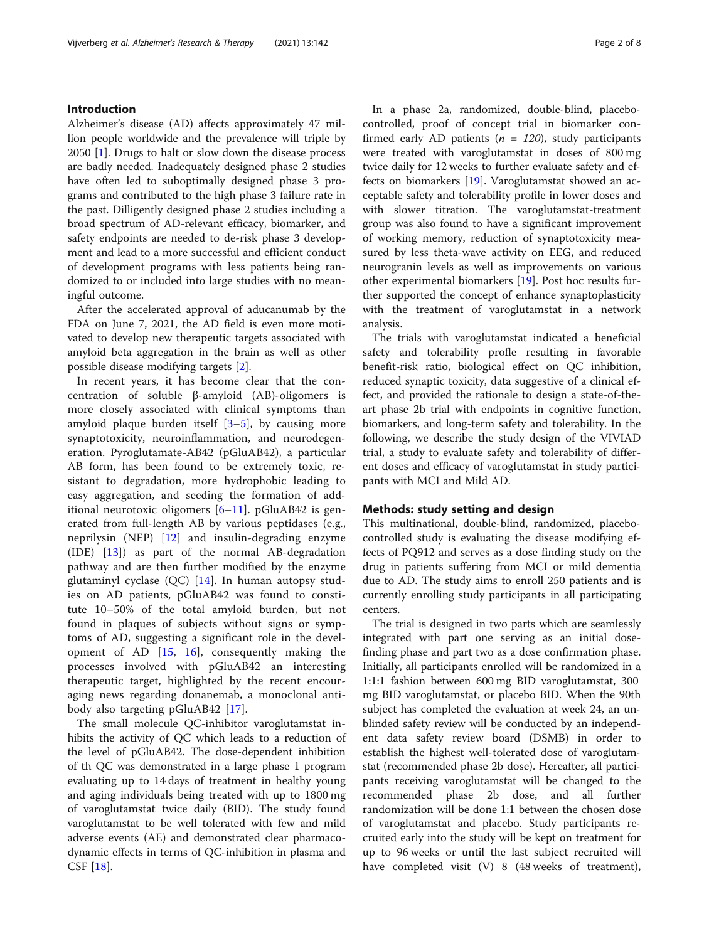### Introduction

Alzheimer's disease (AD) affects approximately 47 million people worldwide and the prevalence will triple by 2050 [[1](#page-6-0)]. Drugs to halt or slow down the disease process are badly needed. Inadequately designed phase 2 studies have often led to suboptimally designed phase 3 programs and contributed to the high phase 3 failure rate in the past. Dilligently designed phase 2 studies including a broad spectrum of AD-relevant efficacy, biomarker, and safety endpoints are needed to de-risk phase 3 development and lead to a more successful and efficient conduct of development programs with less patients being randomized to or included into large studies with no meaningful outcome.

After the accelerated approval of aducanumab by the FDA on June 7, 2021, the AD field is even more motivated to develop new therapeutic targets associated with amyloid beta aggregation in the brain as well as other possible disease modifying targets [[2\]](#page-6-0).

In recent years, it has become clear that the concentration of soluble β-amyloid (AB)-oligomers is more closely associated with clinical symptoms than amyloid plaque burden itself  $[3-5]$  $[3-5]$  $[3-5]$  $[3-5]$ , by causing more synaptotoxicity, neuroinflammation, and neurodegeneration. Pyroglutamate-AB42 (pGluAB42), a particular AB form, has been found to be extremely toxic, resistant to degradation, more hydrophobic leading to easy aggregation, and seeding the formation of additional neurotoxic oligomers [[6](#page-6-0)–[11\]](#page-7-0). pGluAB42 is generated from full-length AB by various peptidases (e.g., neprilysin (NEP) [[12\]](#page-7-0) and insulin-degrading enzyme (IDE) [[13\]](#page-7-0)) as part of the normal AB-degradation pathway and are then further modified by the enzyme glutaminyl cyclase  $(QC)$  [[14\]](#page-7-0). In human autopsy studies on AD patients, pGluAB42 was found to constitute 10–50% of the total amyloid burden, but not found in plaques of subjects without signs or symptoms of AD, suggesting a significant role in the development of AD [[15,](#page-7-0) [16](#page-7-0)], consequently making the processes involved with pGluAB42 an interesting therapeutic target, highlighted by the recent encouraging news regarding donanemab, a monoclonal antibody also targeting pGluAB42 [[17\]](#page-7-0).

The small molecule QC-inhibitor varoglutamstat inhibits the activity of QC which leads to a reduction of the level of pGluAB42. The dose-dependent inhibition of th QC was demonstrated in a large phase 1 program evaluating up to 14 days of treatment in healthy young and aging individuals being treated with up to 1800 mg of varoglutamstat twice daily (BID). The study found varoglutamstat to be well tolerated with few and mild adverse events (AE) and demonstrated clear pharmacodynamic effects in terms of QC-inhibition in plasma and CSF [[18](#page-7-0)].

In a phase 2a, randomized, double-blind, placebocontrolled, proof of concept trial in biomarker confirmed early AD patients ( $n = 120$ ), study participants were treated with varoglutamstat in doses of 800 mg twice daily for 12 weeks to further evaluate safety and effects on biomarkers [[19](#page-7-0)]. Varoglutamstat showed an acceptable safety and tolerability profile in lower doses and with slower titration. The varoglutamstat-treatment group was also found to have a significant improvement of working memory, reduction of synaptotoxicity measured by less theta-wave activity on EEG, and reduced neurogranin levels as well as improvements on various other experimental biomarkers [\[19](#page-7-0)]. Post hoc results further supported the concept of enhance synaptoplasticity with the treatment of varoglutamstat in a network analysis.

The trials with varoglutamstat indicated a beneficial safety and tolerability profle resulting in favorable benefit-risk ratio, biological effect on QC inhibition, reduced synaptic toxicity, data suggestive of a clinical effect, and provided the rationale to design a state-of-theart phase 2b trial with endpoints in cognitive function, biomarkers, and long-term safety and tolerability. In the following, we describe the study design of the VIVIAD trial, a study to evaluate safety and tolerability of different doses and efficacy of varoglutamstat in study participants with MCI and Mild AD.

#### Methods: study setting and design

This multinational, double-blind, randomized, placebocontrolled study is evaluating the disease modifying effects of PQ912 and serves as a dose finding study on the drug in patients suffering from MCI or mild dementia due to AD. The study aims to enroll 250 patients and is currently enrolling study participants in all participating centers.

The trial is designed in two parts which are seamlessly integrated with part one serving as an initial dosefinding phase and part two as a dose confirmation phase. Initially, all participants enrolled will be randomized in a 1:1:1 fashion between 600 mg BID varoglutamstat, 300 mg BID varoglutamstat, or placebo BID. When the 90th subject has completed the evaluation at week 24, an unblinded safety review will be conducted by an independent data safety review board (DSMB) in order to establish the highest well-tolerated dose of varoglutamstat (recommended phase 2b dose). Hereafter, all participants receiving varoglutamstat will be changed to the recommended phase 2b dose, and all further randomization will be done 1:1 between the chosen dose of varoglutamstat and placebo. Study participants recruited early into the study will be kept on treatment for up to 96 weeks or until the last subject recruited will have completed visit (V) 8 (48 weeks of treatment),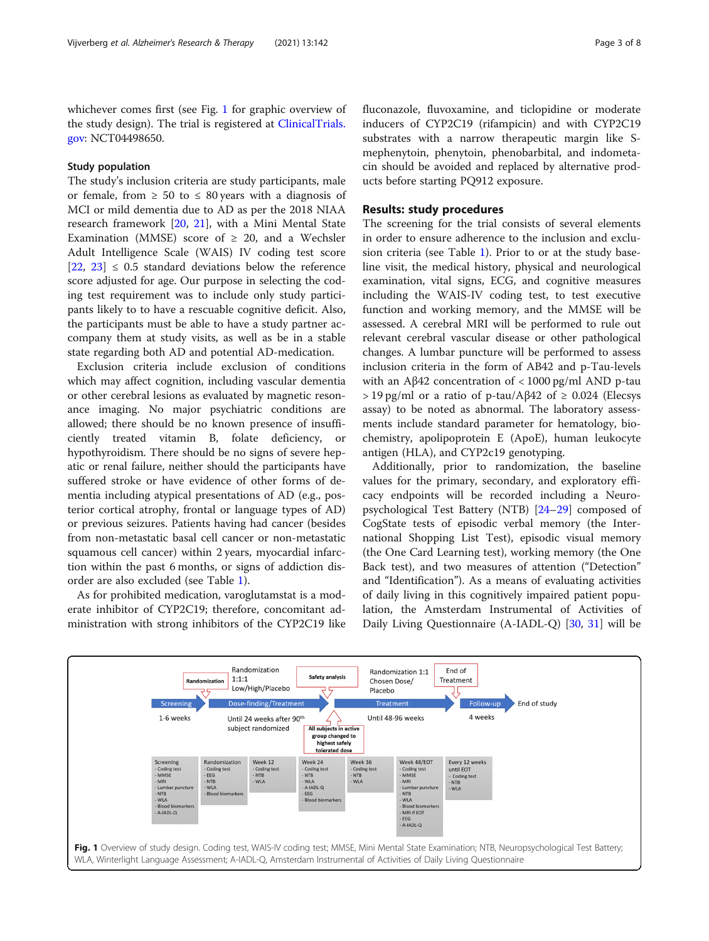<span id="page-2-0"></span>whichever comes first (see Fig. 1 for graphic overview of the study design). The trial is registered at [ClinicalTrials.](http://clinicaltrials.gov) [gov](http://clinicaltrials.gov): NCT04498650.

#### Study population

The study's inclusion criteria are study participants, male or female, from  $\geq 50$  to  $\leq 80$  years with a diagnosis of MCI or mild dementia due to AD as per the 2018 NIAA research framework [[20](#page-7-0), [21\]](#page-7-0), with a Mini Mental State Examination (MMSE) score of  $\geq$  20, and a Wechsler Adult Intelligence Scale (WAIS) IV coding test score  $[22, 23] \leq 0.5$  $[22, 23] \leq 0.5$  $[22, 23] \leq 0.5$  $[22, 23] \leq 0.5$  $[22, 23] \leq 0.5$  standard deviations below the reference score adjusted for age. Our purpose in selecting the coding test requirement was to include only study participants likely to to have a rescuable cognitive deficit. Also, the participants must be able to have a study partner accompany them at study visits, as well as be in a stable state regarding both AD and potential AD-medication.

Exclusion criteria include exclusion of conditions which may affect cognition, including vascular dementia or other cerebral lesions as evaluated by magnetic resonance imaging. No major psychiatric conditions are allowed; there should be no known presence of insufficiently treated vitamin B, folate deficiency, or hypothyroidism. There should be no signs of severe hepatic or renal failure, neither should the participants have suffered stroke or have evidence of other forms of dementia including atypical presentations of AD (e.g., posterior cortical atrophy, frontal or language types of AD) or previous seizures. Patients having had cancer (besides from non-metastatic basal cell cancer or non-metastatic squamous cell cancer) within 2 years, myocardial infarction within the past 6 months, or signs of addiction disorder are also excluded (see Table [1\)](#page-3-0).

As for prohibited medication, varoglutamstat is a moderate inhibitor of CYP2C19; therefore, concomitant administration with strong inhibitors of the CYP2C19 like fluconazole, fluvoxamine, and ticlopidine or moderate inducers of CYP2C19 (rifampicin) and with CYP2C19 substrates with a narrow therapeutic margin like Smephenytoin, phenytoin, phenobarbital, and indometacin should be avoided and replaced by alternative products before starting PQ912 exposure.

#### Results: study procedures

The screening for the trial consists of several elements in order to ensure adherence to the inclusion and exclusion criteria (see Table [1\)](#page-3-0). Prior to or at the study baseline visit, the medical history, physical and neurological examination, vital signs, ECG, and cognitive measures including the WAIS-IV coding test, to test executive function and working memory, and the MMSE will be assessed. A cerebral MRI will be performed to rule out relevant cerebral vascular disease or other pathological changes. A lumbar puncture will be performed to assess inclusion criteria in the form of AB42 and p-Tau-levels with an Aβ42 concentration of  $\langle 1000 \text{ pg/ml AND p-tau} \rangle$  $>$  19 pg/ml or a ratio of p-tau/Aβ42 of  $\geq$  0.024 (Elecsys assay) to be noted as abnormal. The laboratory assessments include standard parameter for hematology, biochemistry, apolipoprotein E (ApoE), human leukocyte antigen (HLA), and CYP2c19 genotyping.

Additionally, prior to randomization, the baseline values for the primary, secondary, and exploratory efficacy endpoints will be recorded including a Neuropsychological Test Battery (NTB) [\[24](#page-7-0)–[29\]](#page-7-0) composed of CogState tests of episodic verbal memory (the International Shopping List Test), episodic visual memory (the One Card Learning test), working memory (the One Back test), and two measures of attention ("Detection" and "Identification"). As a means of evaluating activities of daily living in this cognitively impaired patient population, the Amsterdam Instrumental of Activities of Daily Living Questionnaire (A-IADL-Q) [\[30](#page-7-0), [31\]](#page-7-0) will be

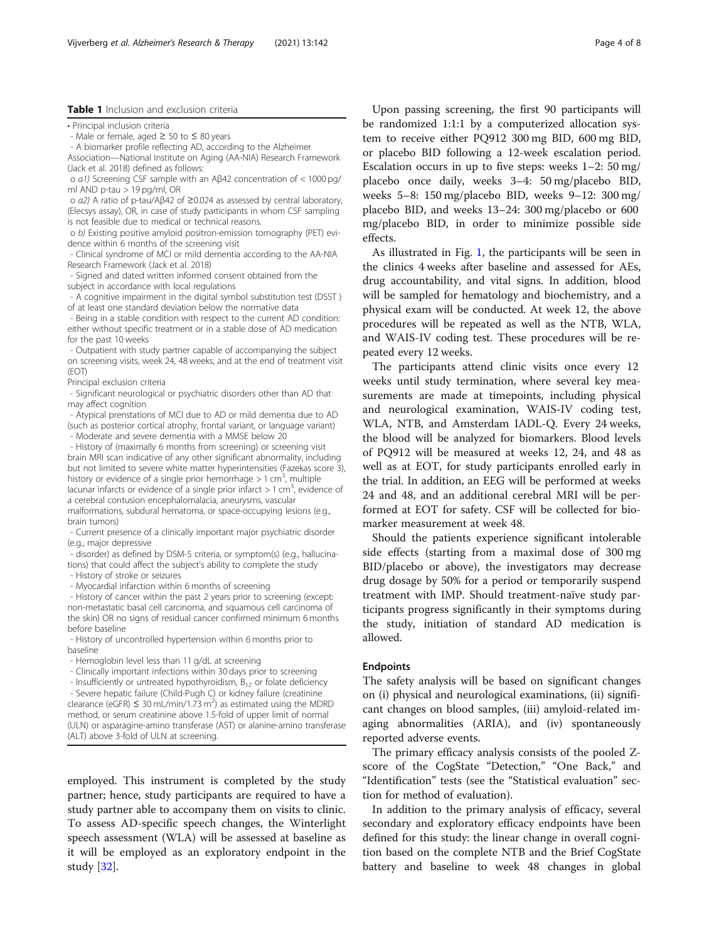#### <span id="page-3-0"></span>Table 1 Inclusion and exclusion criteria

• Principal inclusion criteria

- Male or female, aged ≥ 50 to ≤ 80 years

- A biomarker profile reflecting AD, according to the Alzheimer Association—National Institute on Aging (AA-NIA) Research Framework (Jack et al. 2018) defined as follows:

o a1) Screening CSF sample with an Aβ42 concentration of < 1000 pg/ ml AND p-tau > 19 pg/ml, OR

o a2) A ratio of p-tau/Aβ42 of ≥0.024 as assessed by central laboratory, (Elecsys assay), OR, in case of study participants in whom CSF sampling is not feasible due to medical or technical reasons.

o b) Existing positive amyloid positron-emission tomography (PET) evidence within 6 months of the screening visit

- Clinical syndrome of MCI or mild dementia according to the AA-NIA Research Framework (Jack et al. 2018)

- Signed and dated written informed consent obtained from the subject in accordance with local regulations

- A cognitive impairment in the digital symbol substitution test (DSST ) of at least one standard deviation below the normative data

- Being in a stable condition with respect to the current AD condition: either without specific treatment or in a stable dose of AD medication for the past 10 weeks

- Outpatient with study partner capable of accompanying the subject on screening visits, week 24, 48 weeks, and at the end of treatment visit (EOT)

Principal exclusion criteria

- Significant neurological or psychiatric disorders other than AD that may affect cognition

- Atypical prenstations of MCI due to AD or mild dementia due to AD (such as posterior cortical atrophy, frontal variant, or language variant) - Moderate and severe dementia with a MMSE below 20

- History of (maximally 6 months from screening) or screening visit brain MRI scan indicative of any other significant abnormality, including but not limited to severe white matter hyperintensities (Fazekas score 3), history or evidence of a single prior hemorrhage  $> 1$  cm<sup>3</sup>, multiple lacunar infarcts or evidence of a single prior infarct > 1 cm<sup>3</sup>, evidence of a cerebral contusion encephalomalacia, aneurysms, vascular

malformations, subdural hematoma, or space-occupying lesions (e.g., brain tumors)

- Current presence of a clinically important major psychiatric disorder (e.g., major depressive

- disorder) as defined by DSM-5 criteria, or symptom(s) (e.g., hallucinations) that could affect the subject's ability to complete the study

- History of stroke or seizures

- Myocardial infarction within 6 months of screening

- History of cancer within the past 2 years prior to screening (except: non-metastatic basal cell carcinoma, and squamous cell carcinoma of the skin) OR no signs of residual cancer confirmed minimum 6 months before baseline

- History of uncontrolled hypertension within 6 months prior to baseline

- Hemoglobin level less than 11 g/dL at screening

- Clinically important infections within 30 days prior to screening

- Insufficiently or untreated hypothyroidism,  $B_{12}$  or folate deficiency - Severe hepatic failure (Child-Pugh C) or kidney failure (creatinine

clearance (eGFR)  $\leq 30$  mL/min/1.73 m<sup>2</sup>) as estimated using the MDRD method, or serum creatinine above 1.5-fold of upper limit of normal (ULN) or asparagine-amino transferase (AST) or alanine-amino transferase (ALT) above 3-fold of ULN at screening.

employed. This instrument is completed by the study partner; hence, study participants are required to have a study partner able to accompany them on visits to clinic. To assess AD-specific speech changes, the Winterlight speech assessment (WLA) will be assessed at baseline as it will be employed as an exploratory endpoint in the study [[32\]](#page-7-0).

Upon passing screening, the first 90 participants will be randomized 1:1:1 by a computerized allocation system to receive either PQ912 300 mg BID, 600 mg BID, or placebo BID following a 12-week escalation period. Escalation occurs in up to five steps: weeks 1–2: 50 mg/ placebo once daily, weeks 3–4: 50 mg/placebo BID, weeks 5–8: 150 mg/placebo BID, weeks 9–12: 300 mg/ placebo BID, and weeks 13–24: 300 mg/placebo or 600 mg/placebo BID, in order to minimize possible side effects.

As illustrated in Fig. [1](#page-2-0), the participants will be seen in the clinics 4 weeks after baseline and assessed for AEs, drug accountability, and vital signs. In addition, blood will be sampled for hematology and biochemistry, and a physical exam will be conducted. At week 12, the above procedures will be repeated as well as the NTB, WLA, and WAIS-IV coding test. These procedures will be repeated every 12 weeks.

The participants attend clinic visits once every 12 weeks until study termination, where several key measurements are made at timepoints, including physical and neurological examination, WAIS-IV coding test, WLA, NTB, and Amsterdam IADL-Q. Every 24 weeks, the blood will be analyzed for biomarkers. Blood levels of PQ912 will be measured at weeks 12, 24, and 48 as well as at EOT, for study participants enrolled early in the trial. In addition, an EEG will be performed at weeks 24 and 48, and an additional cerebral MRI will be performed at EOT for safety. CSF will be collected for biomarker measurement at week 48.

Should the patients experience significant intolerable side effects (starting from a maximal dose of 300 mg BID/placebo or above), the investigators may decrease drug dosage by 50% for a period or temporarily suspend treatment with IMP. Should treatment-naïve study participants progress significantly in their symptoms during the study, initiation of standard AD medication is allowed.

#### Endpoints

The safety analysis will be based on significant changes on (i) physical and neurological examinations, (ii) significant changes on blood samples, (iii) amyloid-related imaging abnormalities (ARIA), and (iv) spontaneously reported adverse events.

The primary efficacy analysis consists of the pooled Zscore of the CogState "Detection," "One Back," and "Identification" tests (see the "Statistical evaluation" section for method of evaluation).

In addition to the primary analysis of efficacy, several secondary and exploratory efficacy endpoints have been defined for this study: the linear change in overall cognition based on the complete NTB and the Brief CogState battery and baseline to week 48 changes in global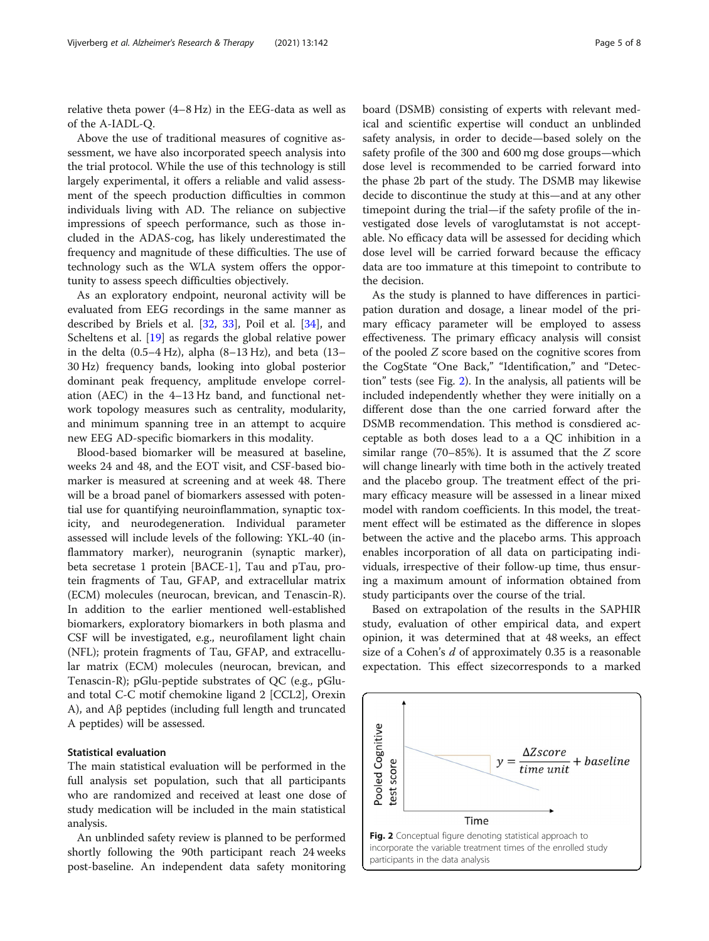relative theta power (4–8 Hz) in the EEG-data as well as of the A-IADL-Q.

Above the use of traditional measures of cognitive assessment, we have also incorporated speech analysis into the trial protocol. While the use of this technology is still largely experimental, it offers a reliable and valid assessment of the speech production difficulties in common individuals living with AD. The reliance on subjective impressions of speech performance, such as those included in the ADAS-cog, has likely underestimated the frequency and magnitude of these difficulties. The use of technology such as the WLA system offers the opportunity to assess speech difficulties objectively.

As an exploratory endpoint, neuronal activity will be evaluated from EEG recordings in the same manner as described by Briels et al. [\[32](#page-7-0), [33\]](#page-7-0), Poil et al. [[34\]](#page-7-0), and Scheltens et al. [[19\]](#page-7-0) as regards the global relative power in the delta  $(0.5-4 Hz)$ , alpha  $(8-13 Hz)$ , and beta  $(13-$ 30 Hz) frequency bands, looking into global posterior dominant peak frequency, amplitude envelope correlation (AEC) in the 4–13 Hz band, and functional network topology measures such as centrality, modularity, and minimum spanning tree in an attempt to acquire new EEG AD-specific biomarkers in this modality.

Blood-based biomarker will be measured at baseline, weeks 24 and 48, and the EOT visit, and CSF-based biomarker is measured at screening and at week 48. There will be a broad panel of biomarkers assessed with potential use for quantifying neuroinflammation, synaptic toxicity, and neurodegeneration. Individual parameter assessed will include levels of the following: YKL-40 (inflammatory marker), neurogranin (synaptic marker), beta secretase 1 protein [BACE-1], Tau and pTau, protein fragments of Tau, GFAP, and extracellular matrix (ECM) molecules (neurocan, brevican, and Tenascin-R). In addition to the earlier mentioned well-established biomarkers, exploratory biomarkers in both plasma and CSF will be investigated, e.g., neurofilament light chain (NFL); protein fragments of Tau, GFAP, and extracellular matrix (ECM) molecules (neurocan, brevican, and Tenascin-R); pGlu-peptide substrates of QC (e.g., pGluand total C-C motif chemokine ligand 2 [CCL2], Orexin A), and Aβ peptides (including full length and truncated A peptides) will be assessed.

#### Statistical evaluation

The main statistical evaluation will be performed in the full analysis set population, such that all participants who are randomized and received at least one dose of study medication will be included in the main statistical analysis.

An unblinded safety review is planned to be performed shortly following the 90th participant reach 24 weeks post-baseline. An independent data safety monitoring board (DSMB) consisting of experts with relevant medical and scientific expertise will conduct an unblinded safety analysis, in order to decide—based solely on the safety profile of the 300 and 600 mg dose groups—which dose level is recommended to be carried forward into the phase 2b part of the study. The DSMB may likewise decide to discontinue the study at this—and at any other timepoint during the trial—if the safety profile of the investigated dose levels of varoglutamstat is not acceptable. No efficacy data will be assessed for deciding which dose level will be carried forward because the efficacy data are too immature at this timepoint to contribute to the decision.

As the study is planned to have differences in participation duration and dosage, a linear model of the primary efficacy parameter will be employed to assess effectiveness. The primary efficacy analysis will consist of the pooled Z score based on the cognitive scores from the CogState "One Back," "Identification," and "Detection" tests (see Fig. 2). In the analysis, all patients will be included independently whether they were initially on a different dose than the one carried forward after the DSMB recommendation. This method is consdiered acceptable as both doses lead to a a QC inhibition in a similar range (70–85%). It is assumed that the Z score will change linearly with time both in the actively treated and the placebo group. The treatment effect of the primary efficacy measure will be assessed in a linear mixed model with random coefficients. In this model, the treatment effect will be estimated as the difference in slopes between the active and the placebo arms. This approach enables incorporation of all data on participating individuals, irrespective of their follow-up time, thus ensuring a maximum amount of information obtained from study participants over the course of the trial.

Based on extrapolation of the results in the SAPHIR study, evaluation of other empirical data, and expert opinion, it was determined that at 48 weeks, an effect size of a Cohen's d of approximately 0.35 is a reasonable expectation. This effect sizecorresponds to a marked

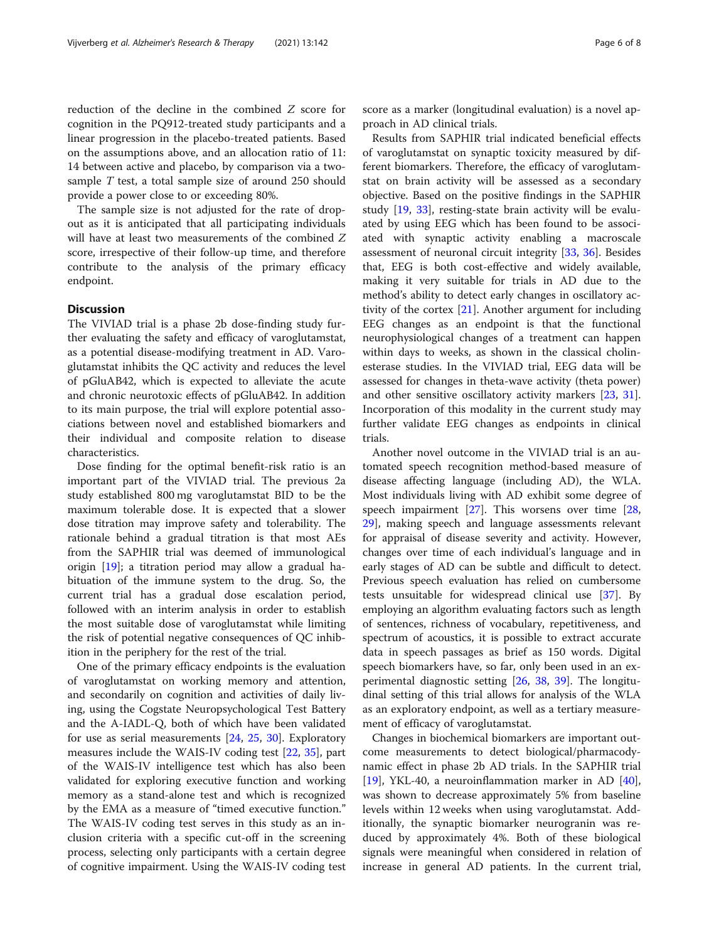reduction of the decline in the combined Z score for cognition in the PQ912-treated study participants and a linear progression in the placebo-treated patients. Based on the assumptions above, and an allocation ratio of 11: 14 between active and placebo, by comparison via a twosample T test, a total sample size of around 250 should provide a power close to or exceeding 80%.

The sample size is not adjusted for the rate of dropout as it is anticipated that all participating individuals will have at least two measurements of the combined Z score, irrespective of their follow-up time, and therefore contribute to the analysis of the primary efficacy endpoint.

#### **Discussion**

The VIVIAD trial is a phase 2b dose-finding study further evaluating the safety and efficacy of varoglutamstat, as a potential disease-modifying treatment in AD. Varoglutamstat inhibits the QC activity and reduces the level of pGluAB42, which is expected to alleviate the acute and chronic neurotoxic effects of pGluAB42. In addition to its main purpose, the trial will explore potential associations between novel and established biomarkers and their individual and composite relation to disease characteristics.

Dose finding for the optimal benefit-risk ratio is an important part of the VIVIAD trial. The previous 2a study established 800 mg varoglutamstat BID to be the maximum tolerable dose. It is expected that a slower dose titration may improve safety and tolerability. The rationale behind a gradual titration is that most AEs from the SAPHIR trial was deemed of immunological origin [\[19](#page-7-0)]; a titration period may allow a gradual habituation of the immune system to the drug. So, the current trial has a gradual dose escalation period, followed with an interim analysis in order to establish the most suitable dose of varoglutamstat while limiting the risk of potential negative consequences of QC inhibition in the periphery for the rest of the trial.

One of the primary efficacy endpoints is the evaluation of varoglutamstat on working memory and attention, and secondarily on cognition and activities of daily living, using the Cogstate Neuropsychological Test Battery and the A-IADL-Q, both of which have been validated for use as serial measurements [[24](#page-7-0), [25](#page-7-0), [30\]](#page-7-0). Exploratory measures include the WAIS-IV coding test [[22](#page-7-0), [35\]](#page-7-0), part of the WAIS-IV intelligence test which has also been validated for exploring executive function and working memory as a stand-alone test and which is recognized by the EMA as a measure of "timed executive function." The WAIS-IV coding test serves in this study as an inclusion criteria with a specific cut-off in the screening process, selecting only participants with a certain degree of cognitive impairment. Using the WAIS-IV coding test score as a marker (longitudinal evaluation) is a novel approach in AD clinical trials.

Results from SAPHIR trial indicated beneficial effects of varoglutamstat on synaptic toxicity measured by different biomarkers. Therefore, the efficacy of varoglutamstat on brain activity will be assessed as a secondary objective. Based on the positive findings in the SAPHIR study [[19,](#page-7-0) [33\]](#page-7-0), resting-state brain activity will be evaluated by using EEG which has been found to be associated with synaptic activity enabling a macroscale assessment of neuronal circuit integrity [[33](#page-7-0), [36\]](#page-7-0). Besides that, EEG is both cost-effective and widely available, making it very suitable for trials in AD due to the method's ability to detect early changes in oscillatory activity of the cortex [\[21](#page-7-0)]. Another argument for including EEG changes as an endpoint is that the functional neurophysiological changes of a treatment can happen within days to weeks, as shown in the classical cholinesterase studies. In the VIVIAD trial, EEG data will be assessed for changes in theta-wave activity (theta power) and other sensitive oscillatory activity markers [\[23](#page-7-0), [31](#page-7-0)]. Incorporation of this modality in the current study may further validate EEG changes as endpoints in clinical trials.

Another novel outcome in the VIVIAD trial is an automated speech recognition method-based measure of disease affecting language (including AD), the WLA. Most individuals living with AD exhibit some degree of speech impairment  $[27]$  $[27]$ . This worsens over time  $[28]$  $[28]$  $[28]$ , [29\]](#page-7-0), making speech and language assessments relevant for appraisal of disease severity and activity. However, changes over time of each individual's language and in early stages of AD can be subtle and difficult to detect. Previous speech evaluation has relied on cumbersome tests unsuitable for widespread clinical use [[37\]](#page-7-0). By employing an algorithm evaluating factors such as length of sentences, richness of vocabulary, repetitiveness, and spectrum of acoustics, it is possible to extract accurate data in speech passages as brief as 150 words. Digital speech biomarkers have, so far, only been used in an experimental diagnostic setting [\[26](#page-7-0), [38,](#page-7-0) [39\]](#page-7-0). The longitudinal setting of this trial allows for analysis of the WLA as an exploratory endpoint, as well as a tertiary measurement of efficacy of varoglutamstat.

Changes in biochemical biomarkers are important outcome measurements to detect biological/pharmacodynamic effect in phase 2b AD trials. In the SAPHIR trial [[19\]](#page-7-0), YKL-40, a neuroinflammation marker in AD  $[40]$  $[40]$ , was shown to decrease approximately 5% from baseline levels within 12 weeks when using varoglutamstat. Additionally, the synaptic biomarker neurogranin was reduced by approximately 4%. Both of these biological signals were meaningful when considered in relation of increase in general AD patients. In the current trial,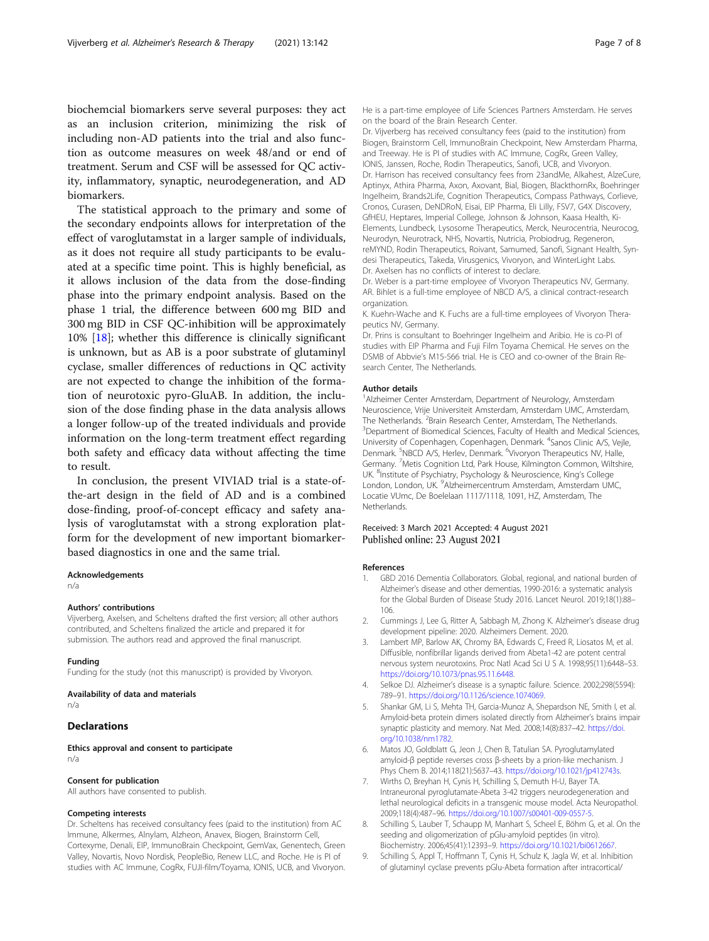<span id="page-6-0"></span>biochemcial biomarkers serve several purposes: they act as an inclusion criterion, minimizing the risk of including non-AD patients into the trial and also function as outcome measures on week 48/and or end of treatment. Serum and CSF will be assessed for QC activity, inflammatory, synaptic, neurodegeneration, and AD biomarkers.

The statistical approach to the primary and some of the secondary endpoints allows for interpretation of the effect of varoglutamstat in a larger sample of individuals, as it does not require all study participants to be evaluated at a specific time point. This is highly beneficial, as it allows inclusion of the data from the dose-finding phase into the primary endpoint analysis. Based on the phase 1 trial, the difference between 600 mg BID and 300 mg BID in CSF QC-inhibition will be approximately 10% [\[18](#page-7-0)]; whether this difference is clinically significant is unknown, but as AB is a poor substrate of glutaminyl cyclase, smaller differences of reductions in QC activity are not expected to change the inhibition of the formation of neurotoxic pyro-GluAB. In addition, the inclusion of the dose finding phase in the data analysis allows a longer follow-up of the treated individuals and provide information on the long-term treatment effect regarding both safety and efficacy data without affecting the time to result.

In conclusion, the present VIVIAD trial is a state-ofthe-art design in the field of AD and is a combined dose-finding, proof-of-concept efficacy and safety analysis of varoglutamstat with a strong exploration platform for the development of new important biomarkerbased diagnostics in one and the same trial.

#### Acknowledgements

n/a

#### Authors' contributions

Vijverberg, Axelsen, and Scheltens drafted the first version; all other authors contributed, and Scheltens finalized the article and prepared it for submission. The authors read and approved the final manuscript.

#### Funding

Funding for the study (not this manuscript) is provided by Vivoryon.

#### Availability of data and materials

n/a

#### Declarations

Ethics approval and consent to participate n/a

#### Consent for publication

All authors have consented to publish.

#### Competing interests

Dr. Scheltens has received consultancy fees (paid to the institution) from AC Immune, Alkermes, Alnylam, Alzheon, Anavex, Biogen, Brainstorm Cell, Cortexyme, Denali, EIP, ImmunoBrain Checkpoint, GemVax, Genentech, Green Valley, Novartis, Novo Nordisk, PeopleBio, Renew LLC, and Roche. He is PI of studies with AC Immune, CogRx, FUJI-film/Toyama, IONIS, UCB, and Vivoryon.

He is a part-time employee of Life Sciences Partners Amsterdam. He serves on the board of the Brain Research Center.

Dr. Vijverberg has received consultancy fees (paid to the institution) from Biogen, Brainstorm Cell, ImmunoBrain Checkpoint, New Amsterdam Pharma, and Treeway. He is PI of studies with AC Immune, CogRx, Green Valley, IONIS, Janssen, Roche, Rodin Therapeutics, Sanofi, UCB, and Vivoryon. Dr. Harrison has received consultancy fees from 23andMe, Alkahest, AlzeCure, Aptinyx, Athira Pharma, Axon, Axovant, Bial, Biogen, BlackthornRx, Boehringer Ingelheim, Brands2Life, Cognition Therapeutics, Compass Pathways, Corlieve, Cronos, Curasen, DeNDRoN, Eisai, EIP Pharma, Eli Lilly, FSV7, G4X Discovery, GfHEU, Heptares, Imperial College, Johnson & Johnson, Kaasa Health, Ki-Elements, Lundbeck, Lysosome Therapeutics, Merck, Neurocentria, Neurocog, Neurodyn, Neurotrack, NHS, Novartis, Nutricia, Probiodrug, Regeneron, reMYND, Rodin Therapeutics, Roivant, Samumed, Sanofi, Signant Health, Syndesi Therapeutics, Takeda, Virusgenics, Vivoryon, and WinterLight Labs. Dr. Axelsen has no conflicts of interest to declare.

Dr. Weber is a part-time employee of Vivoryon Therapeutics NV, Germany. AR. Bihlet is a full-time employee of NBCD A/S, a clinical contract-research organization.

K. Kuehn-Wache and K. Fuchs are a full-time employees of Vivoryon Therapeutics NV, Germany.

Dr. Prins is consultant to Boehringer Ingelheim and Aribio. He is co-PI of studies with EIP Pharma and Fuji Film Toyama Chemical. He serves on the DSMB of Abbvie's M15-566 trial. He is CEO and co-owner of the Brain Research Center, The Netherlands.

#### Author details

1 Alzheimer Center Amsterdam, Department of Neurology, Amsterdam Neuroscience, Vrije Universiteit Amsterdam, Amsterdam UMC, Amsterdam, The Netherlands. <sup>2</sup>Brain Research Center, Amsterdam, The Netherlands.<br><sup>3</sup>Department of Biomodical Sciences, Faculty of Hoalth and Modical Sciences. <sup>3</sup>Department of Biomedical Sciences, Faculty of Health and Medical Sciences, University of Copenhagen, Copenhagen, Denmark. <sup>4</sup>Sanos Clinic A/S, Vejle, Denmark. <sup>5</sup>NBCD A/S, Herlev, Denmark. <sup>6</sup>Vivoryon Therapeutics NV, Halle, Germany. <sup>7</sup>Metis Cognition Ltd, Park House, Kilmington Common, Wiltshire UK. <sup>8</sup>Institute of Psychiatry, Psychology & Neuroscience, King's College London, London, UK. <sup>9</sup> Alzheimercentrum Amsterdam, Amsterdam UMC, Locatie VUmc, De Boelelaan 1117/1118, 1091, HZ, Amsterdam, The **Netherlands** 

#### Received: 3 March 2021 Accepted: 4 August 2021 Published online: 23 August 2021

#### References

- 1. GBD 2016 Dementia Collaborators. Global, regional, and national burden of Alzheimer's disease and other dementias, 1990-2016: a systematic analysis for the Global Burden of Disease Study 2016. Lancet Neurol. 2019;18(1):88– 106.
- 2. Cummings J, Lee G, Ritter A, Sabbagh M, Zhong K. Alzheimer's disease drug development pipeline: 2020. Alzheimers Dement. 2020.
- 3. Lambert MP, Barlow AK, Chromy BA, Edwards C, Freed R, Liosatos M, et al. Diffusible, nonfibrillar ligands derived from Abeta1-42 are potent central nervous system neurotoxins. Proc Natl Acad Sci U S A. 1998;95(11):6448–53. <https://doi.org/10.1073/pnas.95.11.6448>.
- 4. Selkoe DJ. Alzheimer's disease is a synaptic failure. Science. 2002;298(5594): 789–91. [https://doi.org/10.1126/science.1074069.](https://doi.org/10.1126/science.1074069)
- 5. Shankar GM, Li S, Mehta TH, Garcia-Munoz A, Shepardson NE, Smith I, et al. Amyloid-beta protein dimers isolated directly from Alzheimer's brains impair synaptic plasticity and memory. Nat Med. 2008;14(8):837–42. [https://doi.](https://doi.org/10.1038/nm1782) [org/10.1038/nm1782](https://doi.org/10.1038/nm1782).
- 6. Matos JO, Goldblatt G, Jeon J, Chen B, Tatulian SA. Pyroglutamylated amyloid-β peptide reverses cross β-sheets by a prion-like mechanism. J Phys Chem B. 2014;118(21):5637–43. [https://doi.org/10.1021/jp412743s.](https://doi.org/10.1021/jp412743s)
- 7. Wirths O, Breyhan H, Cynis H, Schilling S, Demuth H-U, Bayer TA. Intraneuronal pyroglutamate-Abeta 3-42 triggers neurodegeneration and lethal neurological deficits in a transgenic mouse model. Acta Neuropathol. 2009;118(4):487–96. <https://doi.org/10.1007/s00401-009-0557-5>.
- 8. Schilling S, Lauber T, Schaupp M, Manhart S, Scheel E, Böhm G, et al. On the seeding and oligomerization of pGlu-amyloid peptides (in vitro). Biochemistry. 2006;45(41):12393–9. [https://doi.org/10.1021/bi0612667.](https://doi.org/10.1021/bi0612667)
- 9. Schilling S, Appl T, Hoffmann T, Cynis H, Schulz K, Jagla W, et al. Inhibition of glutaminyl cyclase prevents pGlu-Abeta formation after intracortical/